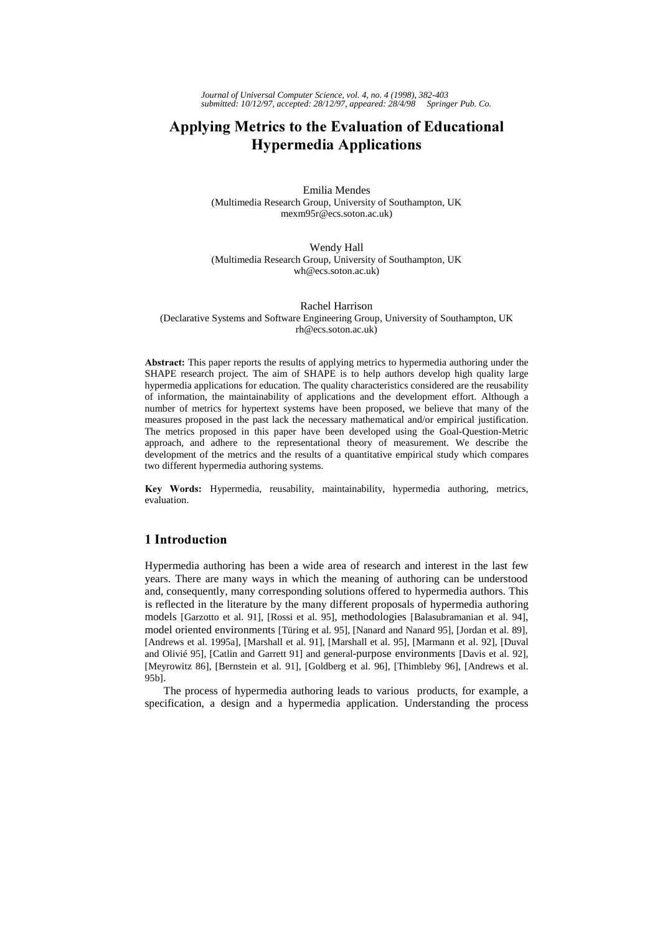*Journal of Universal Computer Science, vol. 4, no. 4 (1998), 382-403 submitted: 10/12/97, accepted: 28/12/97, appeared: 28/4/98 Springer Pub. Co.*

# Applying Metrics to the Evaluation of Educational **Hypermedia Applications**

Emilia Mendes (Multimedia Research Group, University of Southampton, UK mexm95r@ecs.soton.ac.uk)

Wendy Hall (Multimedia Research Group, University of Southampton, UK wh@ecs.soton.ac.uk)

Rachel Harrison (Declarative Systems and Software Engineering Group, University of Southampton, UK rh@ecs.soton.ac.uk)

Abstract: This paper reports the results of applying metrics to hypermedia authoring under the SHAPE research project. The aim of SHAPE is to help authors develop high quality large hypermedia applications for education. The quality characteristics considered are the reusability of information, the maintainability of applications and the development effort. Although a number of metrics for hypertext systems have been proposed, we believe that many of the measures proposed in the past lack the necessary mathematical and/or empirical justification. The metrics proposed in this paper have been developed using the Goal-Question-Metric approach, and adhere to the representational theory of measurement. We describe the development of the metrics and the results of a quantitative empirical study which compares two different hypermedia authoring systems.

Key Words: Hypermedia, reusability, maintainability, hypermedia authoring, metrics, evaluation.

# 1 Introduction

Hypermedia authoring has been a wide area of research and interest in the last few years. There are many ways in which the meaning of authoring can be understood and, consequently, many corresponding solutions offered to hypermedia authors. This is reflected in the literature by the many different proposals of hypermedia authoring models [Garzotto et al. 91], [Rossi et al. 95], methodologies [Balasubramanian et al. 94], model oriented environments [Türing et al. 95], [Nanard and Nanard 95], [Jordan et al. 89], [Andrews et al. 1995a], [Marshall et al. 91], [Marshall et al. 95], [Marmann et al. 92], [Duval and Olivié 95], [Catlin and Garrett 91] and general-purpose environments [Davis et al. 92], [Meyrowitz 86], [Bernstein et al. 91], [Goldberg et al. 96], [Thimbleby 96], [Andrews et al. 95b].

The process of hypermedia authoring leads to various products, for example, a specification, a design and a hypermedia application. Understanding the process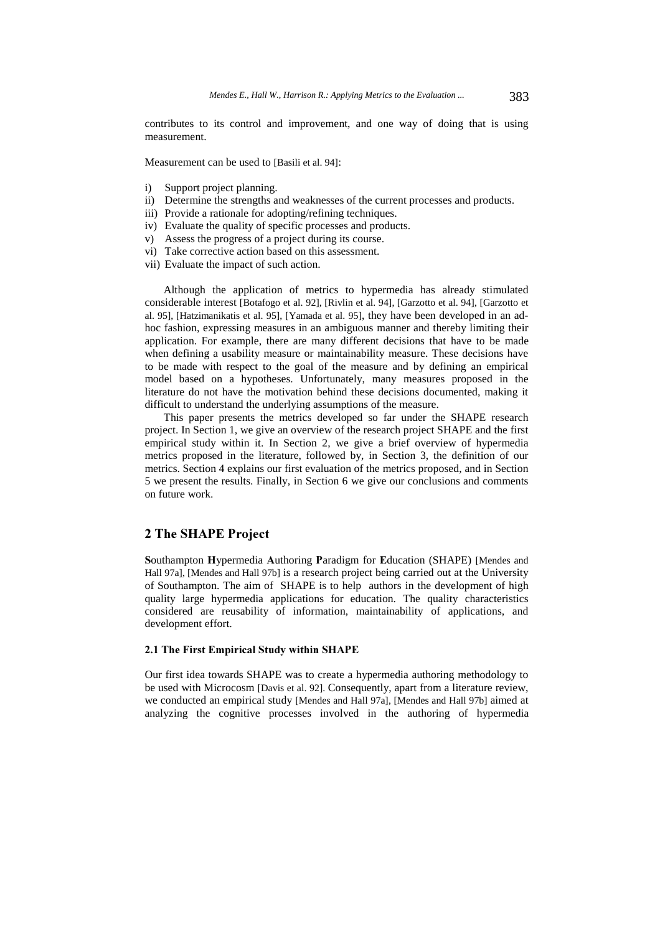contributes to its control and improvement, and one way of doing that is using measurement.

Measurement can be used to [Basili et al. 94]:

- i) Support project planning.
- ii) Determine the strengths and weaknesses of the current processes and products.
- iii) Provide a rationale for adopting/refining techniques.
- iv) Evaluate the quality of specific processes and products.
- v) Assess the progress of a project during its course.
- vi) Take corrective action based on this assessment.
- vii) Evaluate the impact of such action.

Although the application of metrics to hypermedia has already stimulated considerable interest [Botafogo et al. 92], [Rivlin et al. 94], [Garzotto et al. 94], [Garzotto et al. 95], [Hatzimanikatis et al. 95], [Yamada et al. 95], they have been developed in an adhoc fashion, expressing measures in an ambiguous manner and thereby limiting their application. For example, there are many different decisions that have to be made when defining a usability measure or maintainability measure. These decisions have to be made with respect to the goal of the measure and by defining an empirical model based on a hypotheses. Unfortunately, many measures proposed in the literature do not have the motivation behind these decisions documented, making it difficult to understand the underlying assumptions of the measure.

This paper presents the metrics developed so far under the SHAPE research project. In Section 1, we give an overview of the research project SHAPE and the first empirical study within it. In Section 2, we give a brief overview of hypermedia metrics proposed in the literature, followed by, in Section 3, the definition of our metrics. Section 4 explains our first evaluation of the metrics proposed, and in Section 5 we present the results. Finally, in Section 6 we give our conclusions and comments on future work.

# 2 The SHAPE Project

Southampton Hypermedia Authoring Paradigm for Education (SHAPE) [Mendes and Hall 97a], [Mendes and Hall 97b] is a research project being carried out at the University of Southampton. The aim of SHAPE is to help authors in the development of high quality large hypermedia applications for education. The quality characteristics considered are reusability of information, maintainability of applications, and development effort.

### 2.1 The First Empirical Study within SHAPE

Our first idea towards SHAPE was to create a hypermedia authoring methodology to be used with Microcosm [Davis et al. 92]. Consequently, apart from a literature review, we conducted an empirical study [Mendes and Hall 97a], [Mendes and Hall 97b] aimed at analyzing the cognitive processes involved in the authoring of hypermedia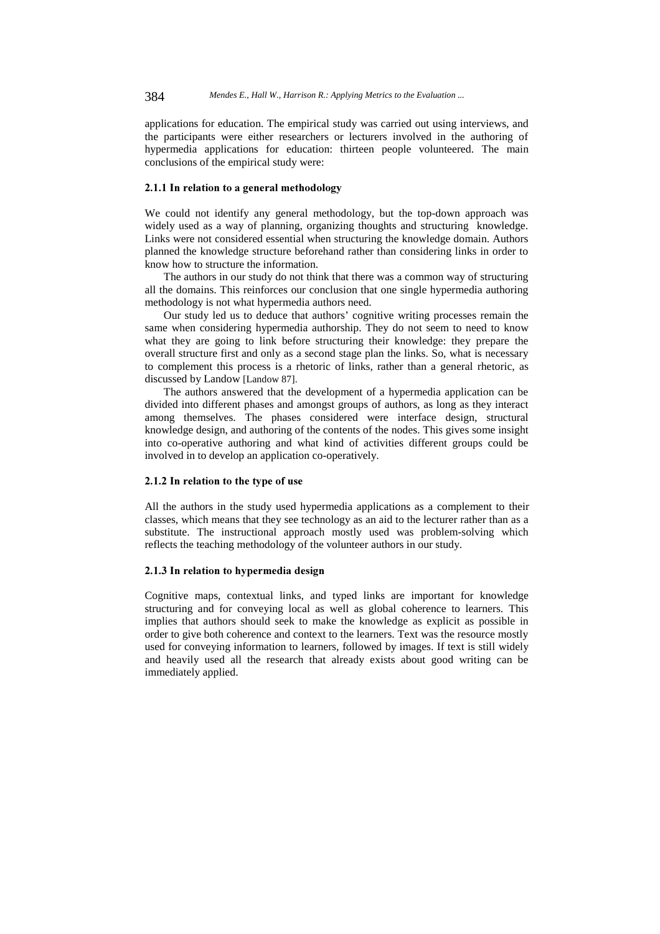applications for education. The empirical study was carried out using interviews, and the participants were either researchers or lecturers involved in the authoring of hypermedia applications for education: thirteen people volunteered. The main conclusions of the empirical study were:

# 2.1.1 In relation to a general methodology

We could not identify any general methodology, but the top-down approach was widely used as a way of planning, organizing thoughts and structuring knowledge. Links were not considered essential when structuring the knowledge domain. Authors planned the knowledge structure beforehand rather than considering links in order to know how to structure the information.

The authors in our study do not think that there was a common way of structuring all the domains. This reinforces our conclusion that one single hypermedia authoring methodology is not what hypermedia authors need.

Our study led us to deduce that authors' cognitive writing processes remain the same when considering hypermedia authorship. They do not seem to need to know what they are going to link before structuring their knowledge: they prepare the overall structure first and only as a second stage plan the links. So, what is necessary to complement this process is a rhetoric of links, rather than a general rhetoric, as discussed by Landow [Landow 87].

The authors answered that the development of a hypermedia application can be divided into different phases and amongst groups of authors, as long as they interact among themselves. The phases considered were interface design, structural knowledge design, and authoring of the contents of the nodes. This gives some insight into co-operative authoring and what kind of activities different groups could be involved in to develop an application co-operatively.

### 2.1.2 In relation to the type of use

All the authors in the study used hypermedia applications as a complement to their classes, which means that they see technology as an aid to the lecturer rather than as a substitute. The instructional approach mostly used was problem-solving which reflects the teaching methodology of the volunteer authors in our study.

#### 2.1.3 In relation to hypermedia design

Cognitive maps, contextual links, and typed links are important for knowledge structuring and for conveying local as well as global coherence to learners. This implies that authors should seek to make the knowledge as explicit as possible in order to give both coherence and context to the learners. Text was the resource mostly used for conveying information to learners, followed by images. If text is still widely and heavily used all the research that already exists about good writing can be immediately applied.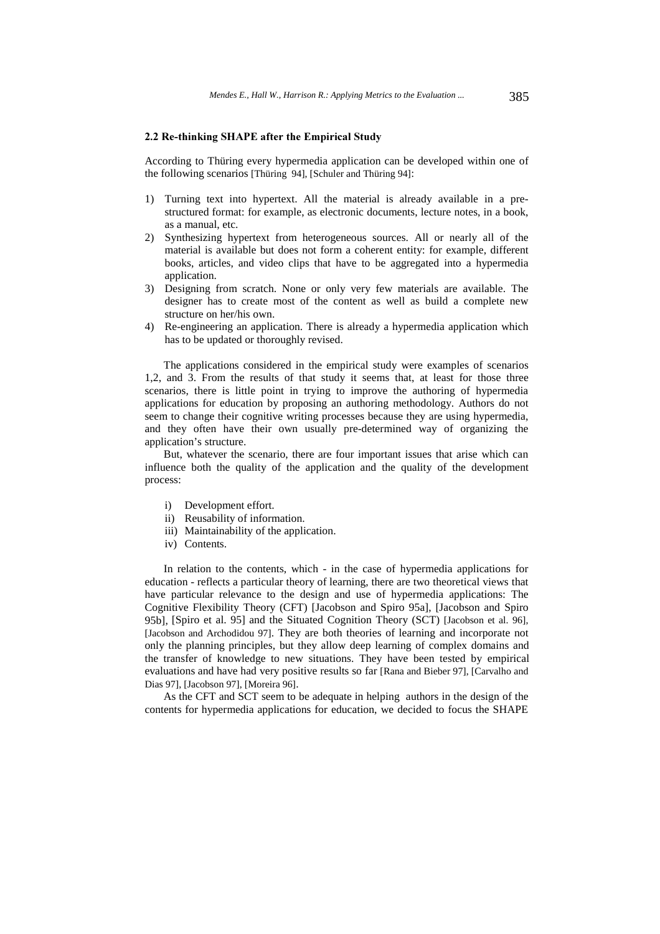#### 2.2 Re-thinking SHAPE after the Empirical Study

According to Thüring every hypermedia application can be developed within one of the following scenarios [Thüring 94], [Schuler and Thüring 94]:

- 1) Turning text into hypertext. All the material is already available in a prestructured format: for example, as electronic documents, lecture notes, in a book, as a manual, etc.
- 2) Synthesizing hypertext from heterogeneous sources. All or nearly all of the material is available but does not form a coherent entity: for example, different books, articles, and video clips that have to be aggregated into a hypermedia application.
- 3) Designing from scratch. None or only very few materials are available. The designer has to create most of the content as well as build a complete new structure on her/his own.
- 4) Re-engineering an application. There is already a hypermedia application which has to be updated or thoroughly revised.

The applications considered in the empirical study were examples of scenarios 1,2, and 3. From the results of that study it seems that, at least for those three scenarios, there is little point in trying to improve the authoring of hypermedia applications for education by proposing an authoring methodology. Authors do not seem to change their cognitive writing processes because they are using hypermedia, and they often have their own usually pre-determined way of organizing the application's structure.

But, whatever the scenario, there are four important issues that arise which can influence both the quality of the application and the quality of the development process:

- i) Development effort.
- ii) Reusability of information.
- iii) Maintainability of the application.
- iv) Contents.

In relation to the contents, which - in the case of hypermedia applications for education - reflects a particular theory of learning, there are two theoretical views that have particular relevance to the design and use of hypermedia applications: The Cognitive Flexibility Theory (CFT) [Jacobson and Spiro 95a], [Jacobson and Spiro 95b], [Spiro et al. 95] and the Situated Cognition Theory (SCT) [Jacobson et al. 96], [Jacobson and Archodidou 97]. They are both theories of learning and incorporate not only the planning principles, but they allow deep learning of complex domains and the transfer of knowledge to new situations. They have been tested by empirical evaluations and have had very positive results so far [Rana and Bieber 97], [Carvalho and Dias 97], [Jacobson 97], [Moreira 96].

As the CFT and SCT seem to be adequate in helping authors in the design of the contents for hypermedia applications for education, we decided to focus the SHAPE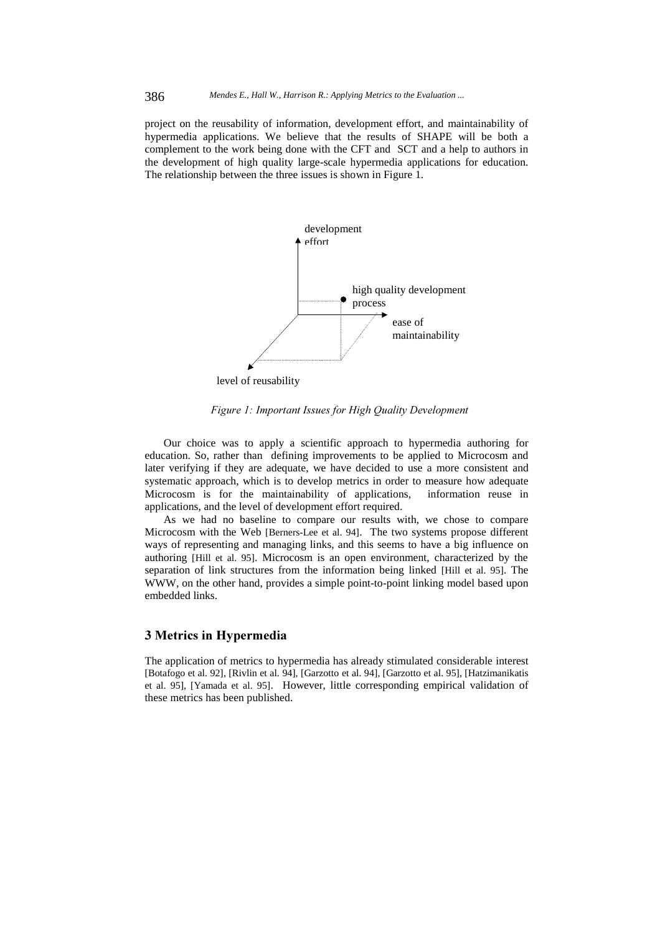project on the reusability of information, development effort, and maintainability of hypermedia applications. We believe that the results of SHAPE will be both a complement to the work being done with the CFT and SCT and a help to authors in the development of high quality large-scale hypermedia applications for education. The relationship between the three issues is shown in Figure 1.



level of reusability

Figure 1: Important Issues for High Quality Development

Our choice was to apply a scientific approach to hypermedia authoring for education. So, rather than defining improvements to be applied to Microcosm and later verifying if they are adequate, we have decided to use a more consistent and systematic approach, which is to develop metrics in order to measure how adequate Microcosm is for the maintainability of applications, information reuse in applications, and the level of development effort required.

As we had no baseline to compare our results with, we chose to compare Microcosm with the Web [Berners-Lee et al. 94]. The two systems propose different ways of representing and managing links, and this seems to have a big influence on authoring [Hill et al. 95]. Microcosm is an open environment, characterized by the separation of link structures from the information being linked [Hill et al. 95]. The WWW, on the other hand, provides a simple point-to-point linking model based upon embedded links.

# 3 Metrics in Hypermedia

The application of metrics to hypermedia has already stimulated considerable interest [Botafogo et al. 92], [Rivlin et al. 94], [Garzotto et al. 94], [Garzotto et al. 95], [Hatzimanikatis et al. 95], [Yamada et al. 95]. However, little corresponding empirical validation of these metrics has been published.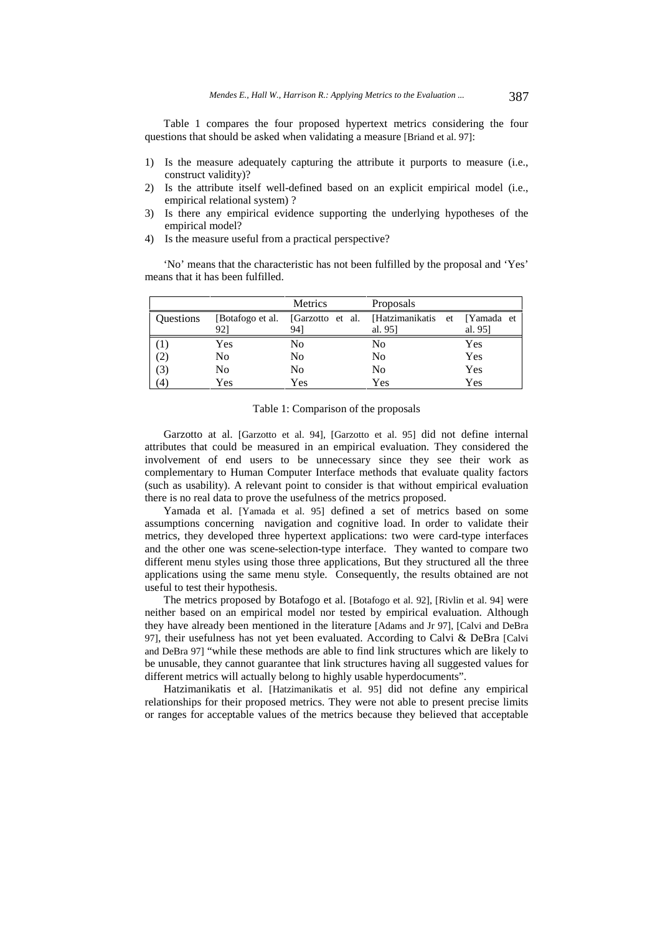Table 1 compares the four proposed hypertext metrics considering the four questions that should be asked when validating a measure [Briand et al. 97]:

- 1) Is the measure adequately capturing the attribute it purports to measure (i.e., construct validity)?
- 2) Is the attribute itself well-defined based on an explicit empirical model (i.e., empirical relational system) ?
- 3) Is there any empirical evidence supporting the underlying hypotheses of the empirical model?
- 4) Is the measure useful from a practical perspective?

'No' means that the characteristic has not been fulfilled by the proposal and 'Yes' means that it has been fulfilled.

|                  |     | Metrics | <b>Proposals</b>                                                           |        |
|------------------|-----|---------|----------------------------------------------------------------------------|--------|
| <b>Ouestions</b> | 921 | 941     | [Botafogo et al. [Garzotto et al. [Hatzimanikatis et [Yamada et<br>al. 951 | al. 95 |
|                  | Yes | No      | No                                                                         | Yes    |
| (2)              | No  | No      | No                                                                         | Yes    |
| (3)              | No  | No      | No                                                                         | Yes    |
| (4)              | Yes | Yes     | Yes                                                                        | Yes    |

#### Table 1: Comparison of the proposals

Garzotto at al. [Garzotto et al. 94], [Garzotto et al. 95] did not define internal attributes that could be measured in an empirical evaluation. They considered the involvement of end users to be unnecessary since they see their work as complementary to Human Computer Interface methods that evaluate quality factors (such as usability). A relevant point to consider is that without empirical evaluation there is no real data to prove the usefulness of the metrics proposed.

Yamada et al. [Yamada et al. 95] defined a set of metrics based on some assumptions concerning navigation and cognitive load. In order to validate their metrics, they developed three hypertext applications: two were card-type interfaces and the other one was scene-selection-type interface. They wanted to compare two different menu styles using those three applications, But they structured all the three applications using the same menu style. Consequently, the results obtained are not useful to test their hypothesis.

The metrics proposed by Botafogo et al. [Botafogo et al. 92], [Rivlin et al. 94] were neither based on an empirical model nor tested by empirical evaluation. Although they have already been mentioned in the literature [Adams and Jr 97], [Calvi and DeBra 97], their usefulness has not yet been evaluated. According to Calvi & DeBra [Calvi and DeBra 97] "while these methods are able to find link structures which are likely to be unusable, they cannot guarantee that link structures having all suggested values for different metrics will actually belong to highly usable hyperdocuments".

Hatzimanikatis et al. [Hatzimanikatis et al. 95] did not define any empirical relationships for their proposed metrics. They were not able to present precise limits or ranges for acceptable values of the metrics because they believed that acceptable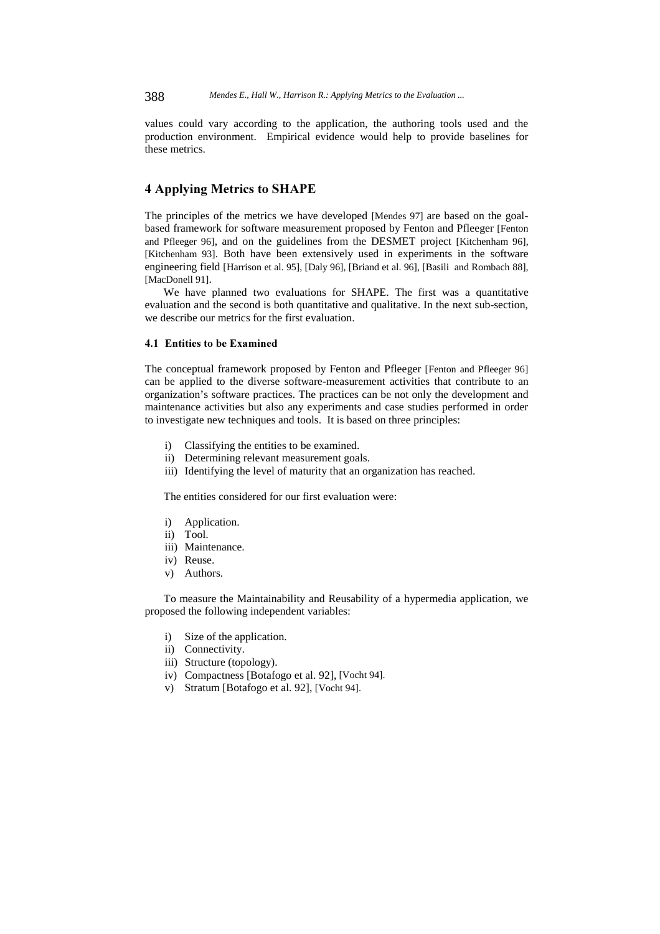values could vary according to the application, the authoring tools used and the production environment. Empirical evidence would help to provide baselines for these metrics.

# 4 Applying Metrics to SHAPE

The principles of the metrics we have developed [Mendes 97] are based on the goalbased framework for software measurement proposed by Fenton and Pfleeger [Fenton and Pfleeger 96], and on the guidelines from the DESMET project [Kitchenham 96], [Kitchenham 93]. Both have been extensively used in experiments in the software engineering field [Harrison et al. 95], [Daly 96], [Briand et al. 96], [Basili and Rombach 88], [MacDonell 91].

We have planned two evaluations for SHAPE. The first was a quantitative evaluation and the second is both quantitative and qualitative. In the next sub-section, we describe our metrics for the first evaluation.

# 4.1 Entities to be Examined

The conceptual framework proposed by Fenton and Pfleeger [Fenton and Pfleeger 96] can be applied to the diverse software-measurement activities that contribute to an organization's software practices. The practices can be not only the development and maintenance activities but also any experiments and case studies performed in order to investigate new techniques and tools. It is based on three principles:

- i) Classifying the entities to be examined.
- ii) Determining relevant measurement goals.
- iii) Identifying the level of maturity that an organization has reached.

The entities considered for our first evaluation were:

- i) Application.
- ii) Tool.
- iii) Maintenance.
- iv) Reuse.
- v) Authors.

To measure the Maintainability and Reusability of a hypermedia application, we proposed the following independent variables:

- i) Size of the application.
- ii) Connectivity.
- iii) Structure (topology).
- iv) Compactness [Botafogo et al. 92], [Vocht 94].
- v) Stratum [Botafogo et al. 92], [Vocht 94].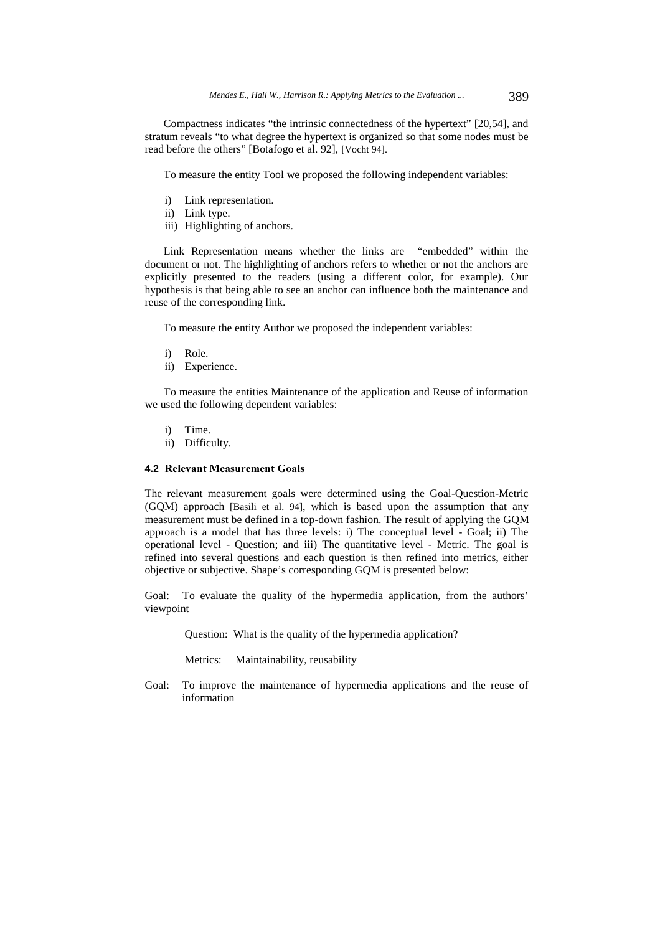Compactness indicates "the intrinsic connectedness of the hypertext" [20,54], and stratum reveals "to what degree the hypertext is organized so that some nodes must be read before the others" [Botafogo et al. 92], [Vocht 94].

To measure the entity Tool we proposed the following independent variables:

- i) Link representation.
- ii) Link type.
- iii) Highlighting of anchors.

Link Representation means whether the links are "embedded" within the document or not. The highlighting of anchors refers to whether or not the anchors are explicitly presented to the readers (using a different color, for example). Our hypothesis is that being able to see an anchor can influence both the maintenance and reuse of the corresponding link.

To measure the entity Author we proposed the independent variables:

- i) Role.
- ii) Experience.

To measure the entities Maintenance of the application and Reuse of information we used the following dependent variables:

- i) Time.
- ii) Difficulty.

#### **4.2 Relevant Measurement Goals**

The relevant measurement goals were determined using the Goal-Question-Metric (GQM) approach [Basili et al. 94], which is based upon the assumption that any measurement must be defined in a top-down fashion. The result of applying the GQM approach is a model that has three levels: i) The conceptual level - Goal; ii) The operational level - Question; and iii) The quantitative level - Metric. The goal is refined into several questions and each question is then refined into metrics, either objective or subjective. Shape's corresponding GQM is presented below:

Goal: To evaluate the quality of the hypermedia application, from the authors' viewpoint

Question: What is the quality of the hypermedia application?

Metrics: Maintainability, reusability

Goal: To improve the maintenance of hypermedia applications and the reuse of information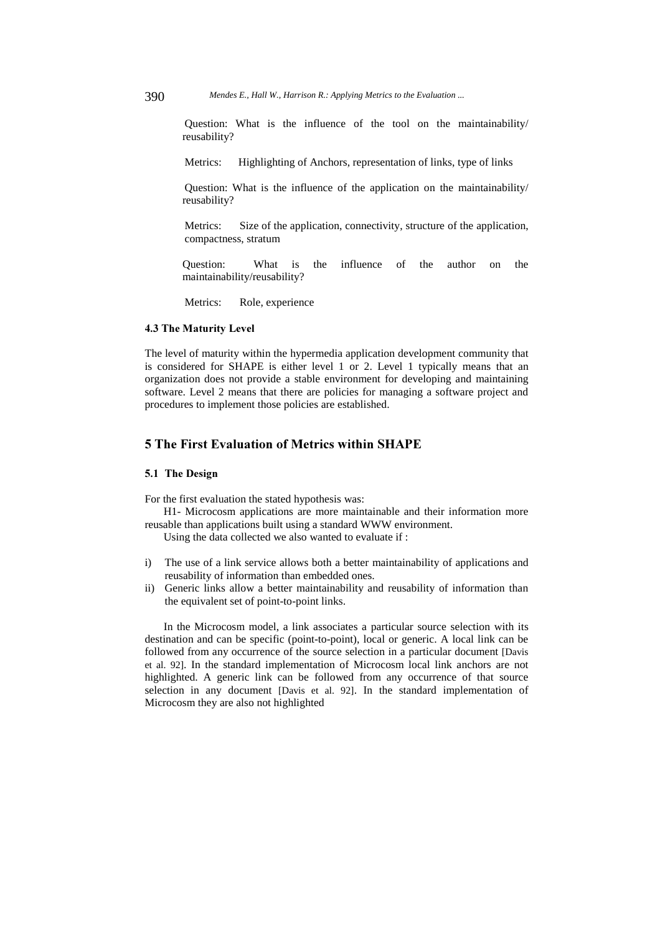390 *Mendes E., Hall W., Harrison R.: Applying Metrics to the Evaluation ...*

Question: What is the influence of the tool on the maintainability/ reusability?

Metrics: Highlighting of Anchors, representation of links, type of links

Question: What is the influence of the application on the maintainability/ reusability?

Metrics: Size of the application, connectivity, structure of the application, compactness, stratum

Question: What is the influence of the author on the maintainability/reusability?

Metrics: Role, experience

#### 4.3 The Maturity Level

The level of maturity within the hypermedia application development community that is considered for SHAPE is either level 1 or 2. Level 1 typically means that an organization does not provide a stable environment for developing and maintaining software. Level 2 means that there are policies for managing a software project and procedures to implement those policies are established.

# 5 The First Evaluation of Metrics within SHAPE

### 5.1 The Design

For the first evaluation the stated hypothesis was:

H1- Microcosm applications are more maintainable and their information more reusable than applications built using a standard WWW environment.

Using the data collected we also wanted to evaluate if :

- i) The use of a link service allows both a better maintainability of applications and reusability of information than embedded ones.
- ii) Generic links allow a better maintainability and reusability of information than the equivalent set of point-to-point links.

In the Microcosm model, a link associates a particular source selection with its destination and can be specific (point-to-point), local or generic. A local link can be followed from any occurrence of the source selection in a particular document [Davis et al. 92]. In the standard implementation of Microcosm local link anchors are not highlighted. A generic link can be followed from any occurrence of that source selection in any document [Davis et al. 92]. In the standard implementation of Microcosm they are also not highlighted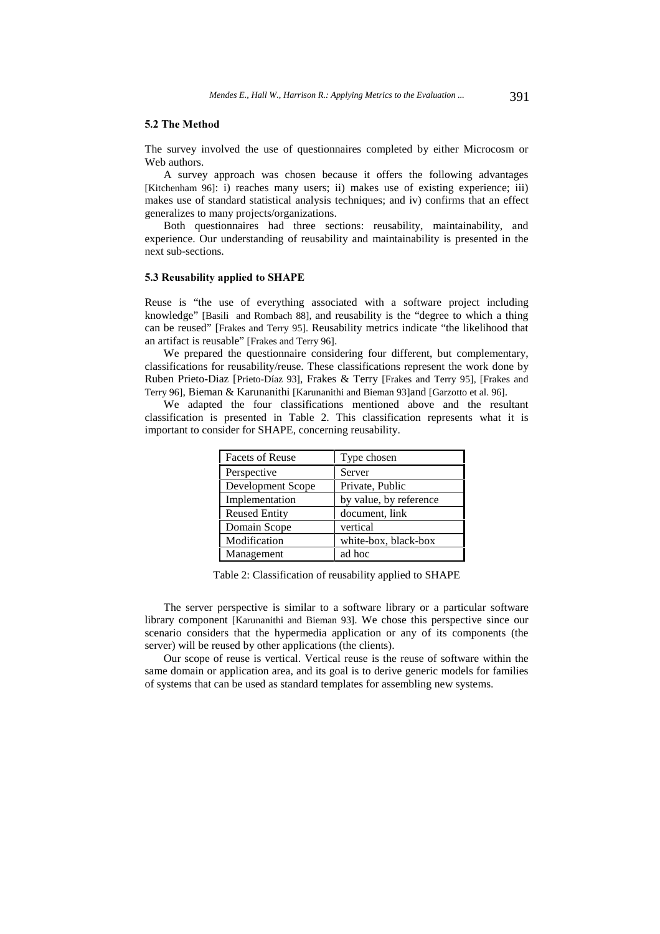#### 5.2 The Method

The survey involved the use of questionnaires completed by either Microcosm or Web authors.

A survey approach was chosen because it offers the following advantages [Kitchenham 96]: i) reaches many users; ii) makes use of existing experience; iii) makes use of standard statistical analysis techniques; and iv) confirms that an effect generalizes to many projects/organizations.

Both questionnaires had three sections: reusability, maintainability, and experience. Our understanding of reusability and maintainability is presented in the next sub-sections.

### 5.3 Reusability applied to SHAPE

Reuse is "the use of everything associated with a software project including knowledge" [Basili and Rombach 88], and reusability is the "degree to which a thing can be reused" [Frakes and Terry 95]. Reusability metrics indicate "the likelihood that an artifact is reusable" [Frakes and Terry 96].

We prepared the questionnaire considering four different, but complementary, classifications for reusability/reuse. These classifications represent the work done by Ruben Prieto-Diaz [Prieto-Díaz 93], Frakes & Terry [Frakes and Terry 95], [Frakes and Terry 96], Bieman & Karunanithi [Karunanithi and Bieman 93]and [Garzotto et al. 96].

We adapted the four classifications mentioned above and the resultant classification is presented in Table 2. This classification represents what it is important to consider for SHAPE, concerning reusability.

| <b>Facets of Reuse</b> | Type chosen            |
|------------------------|------------------------|
| Perspective            | Server                 |
| Development Scope      | Private, Public        |
| Implementation         | by value, by reference |
| <b>Reused Entity</b>   | document, link         |
| Domain Scope           | vertical               |
| Modification           | white-box, black-box   |
| Management             | ad hoc                 |

Table 2: Classification of reusability applied to SHAPE

The server perspective is similar to a software library or a particular software library component [Karunanithi and Bieman 93]. We chose this perspective since our scenario considers that the hypermedia application or any of its components (the server) will be reused by other applications (the clients).

Our scope of reuse is vertical. Vertical reuse is the reuse of software within the same domain or application area, and its goal is to derive generic models for families of systems that can be used as standard templates for assembling new systems.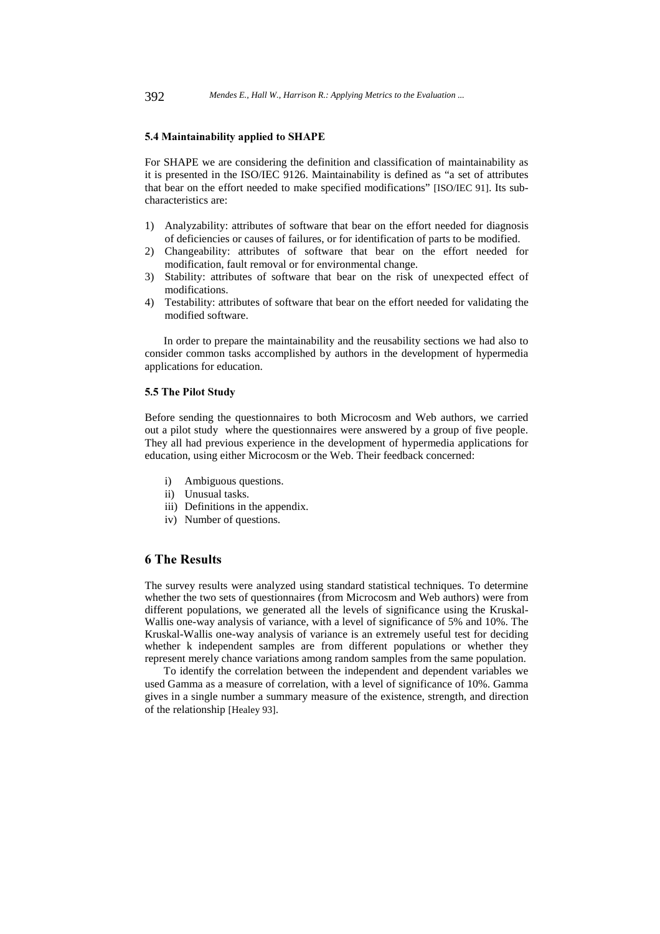### 5.4 Maintainability applied to SHAPE

For SHAPE we are considering the definition and classification of maintainability as it is presented in the ISO/IEC 9126. Maintainability is defined as "a set of attributes that bear on the effort needed to make specified modifications" [ISO/IEC 91]. Its subcharacteristics are:

- 1) Analyzability: attributes of software that bear on the effort needed for diagnosis of deficiencies or causes of failures, or for identification of parts to be modified.
- 2) Changeability: attributes of software that bear on the effort needed for modification, fault removal or for environmental change.
- 3) Stability: attributes of software that bear on the risk of unexpected effect of modifications.
- 4) Testability: attributes of software that bear on the effort needed for validating the modified software.

In order to prepare the maintainability and the reusability sections we had also to consider common tasks accomplished by authors in the development of hypermedia applications for education.

#### 5.5 The Pilot Study

Before sending the questionnaires to both Microcosm and Web authors, we carried out a pilot study where the questionnaires were answered by a group of five people. They all had previous experience in the development of hypermedia applications for education, using either Microcosm or the Web. Their feedback concerned:

- i) Ambiguous questions.
- ii) Unusual tasks.
- iii) Definitions in the appendix.
- iv) Number of questions.

# 6 The Results

The survey results were analyzed using standard statistical techniques. To determine whether the two sets of questionnaires (from Microcosm and Web authors) were from different populations, we generated all the levels of significance using the Kruskal-Wallis one-way analysis of variance, with a level of significance of 5% and 10%. The Kruskal-Wallis one-way analysis of variance is an extremely useful test for deciding whether k independent samples are from different populations or whether they represent merely chance variations among random samples from the same population.

To identify the correlation between the independent and dependent variables we used Gamma as a measure of correlation, with a level of significance of 10%. Gamma gives in a single number a summary measure of the existence, strength, and direction of the relationship [Healey 93].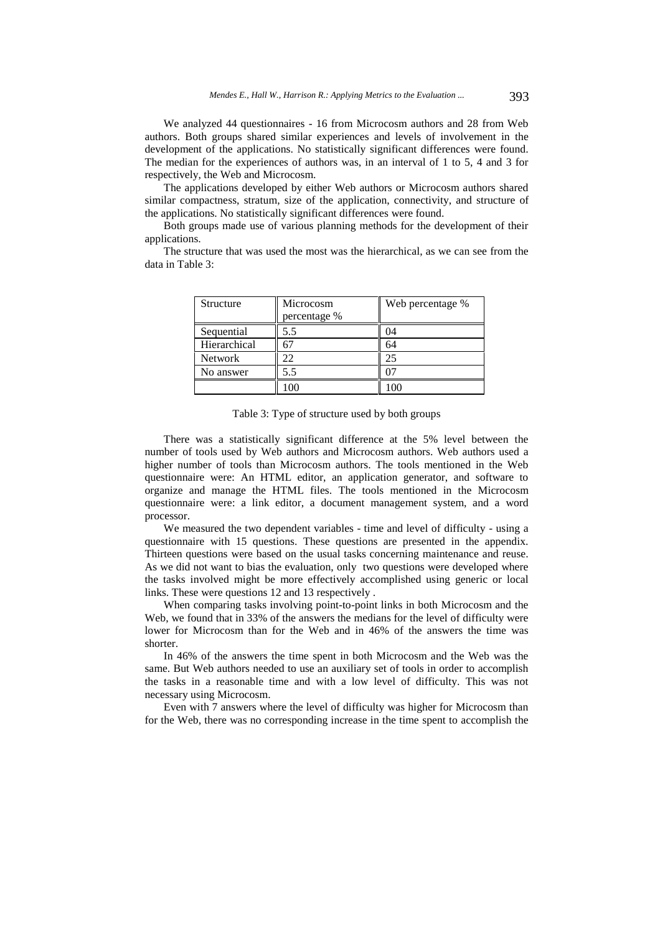We analyzed 44 questionnaires - 16 from Microcosm authors and 28 from Web authors. Both groups shared similar experiences and levels of involvement in the development of the applications. No statistically significant differences were found. The median for the experiences of authors was, in an interval of 1 to 5, 4 and 3 for respectively, the Web and Microcosm.

The applications developed by either Web authors or Microcosm authors shared similar compactness, stratum, size of the application, connectivity, and structure of the applications. No statistically significant differences were found.

Both groups made use of various planning methods for the development of their applications.

The structure that was used the most was the hierarchical, as we can see from the data in Table 3:

| Structure      | Microcosm<br>percentage % | Web percentage % |
|----------------|---------------------------|------------------|
| Sequential     | 5.5                       |                  |
| Hierarchical   |                           | 64               |
| <b>Network</b> |                           | 25               |
| No answer      | 5.5                       |                  |
|                |                           |                  |

Table 3: Type of structure used by both groups

There was a statistically significant difference at the 5% level between the number of tools used by Web authors and Microcosm authors. Web authors used a higher number of tools than Microcosm authors. The tools mentioned in the Web questionnaire were: An HTML editor, an application generator, and software to organize and manage the HTML files. The tools mentioned in the Microcosm questionnaire were: a link editor, a document management system, and a word processor.

We measured the two dependent variables - time and level of difficulty - using a questionnaire with 15 questions. These questions are presented in the appendix. Thirteen questions were based on the usual tasks concerning maintenance and reuse. As we did not want to bias the evaluation, only two questions were developed where the tasks involved might be more effectively accomplished using generic or local links. These were questions 12 and 13 respectively .

When comparing tasks involving point-to-point links in both Microcosm and the Web, we found that in 33% of the answers the medians for the level of difficulty were lower for Microcosm than for the Web and in 46% of the answers the time was shorter.

In 46% of the answers the time spent in both Microcosm and the Web was the same. But Web authors needed to use an auxiliary set of tools in order to accomplish the tasks in a reasonable time and with a low level of difficulty. This was not necessary using Microcosm.

Even with 7 answers where the level of difficulty was higher for Microcosm than for the Web, there was no corresponding increase in the time spent to accomplish the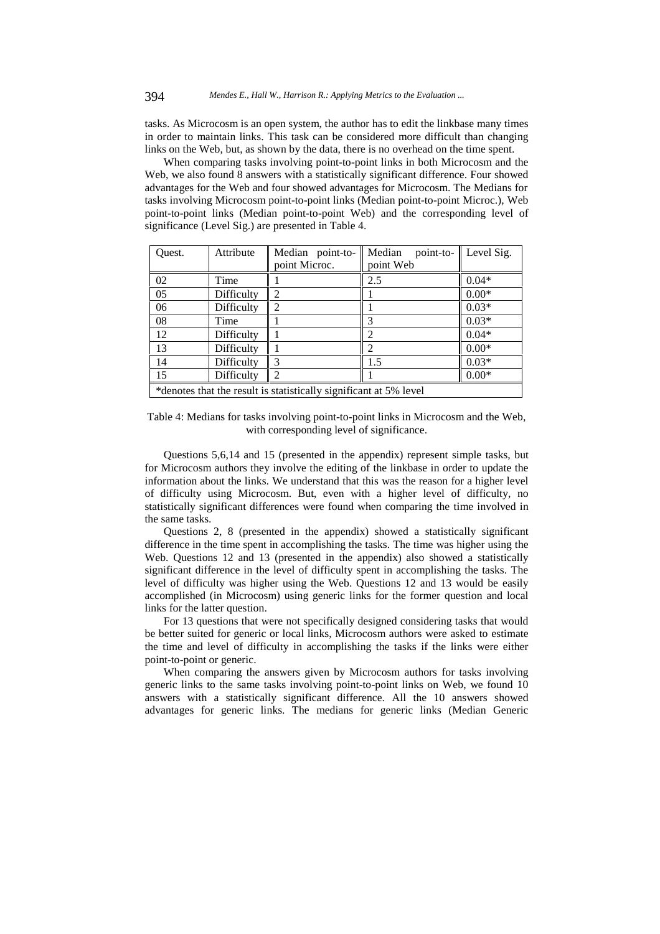tasks. As Microcosm is an open system, the author has to edit the linkbase many times in order to maintain links. This task can be considered more difficult than changing links on the Web, but, as shown by the data, there is no overhead on the time spent.

When comparing tasks involving point-to-point links in both Microcosm and the Web, we also found 8 answers with a statistically significant difference. Four showed advantages for the Web and four showed advantages for Microcosm. The Medians for tasks involving Microcosm point-to-point links (Median point-to-point Microc.), Web point-to-point links (Median point-to-point Web) and the corresponding level of significance (Level Sig.) are presented in Table 4.

| Ouest.                                                            | Attribute  | Median point-to-<br>point Microc. | Median<br>point-to-<br>point Web | Level Sig. |  |
|-------------------------------------------------------------------|------------|-----------------------------------|----------------------------------|------------|--|
| 02                                                                | Time       |                                   | 2.5                              | $0.04*$    |  |
| 05                                                                | Difficulty |                                   |                                  | $0.00*$    |  |
| 06                                                                | Difficulty |                                   |                                  | $0.03*$    |  |
| 08                                                                | Time       |                                   | 3                                | $0.03*$    |  |
| 12                                                                | Difficulty |                                   | 2                                | $0.04*$    |  |
| 13                                                                | Difficulty |                                   | $\overline{c}$                   | $0.00*$    |  |
| 14                                                                | Difficulty |                                   | 1.5                              | $0.03*$    |  |
| 15                                                                | Difficulty |                                   |                                  | $0.00*$    |  |
| *denotes that the result is statistically significant at 5% level |            |                                   |                                  |            |  |

Table 4: Medians for tasks involving point-to-point links in Microcosm and the Web, with corresponding level of significance.

Questions 5,6,14 and 15 (presented in the appendix) represent simple tasks, but for Microcosm authors they involve the editing of the linkbase in order to update the information about the links. We understand that this was the reason for a higher level of difficulty using Microcosm. But, even with a higher level of difficulty, no statistically significant differences were found when comparing the time involved in the same tasks.

Questions 2, 8 (presented in the appendix) showed a statistically significant difference in the time spent in accomplishing the tasks. The time was higher using the Web. Questions 12 and 13 (presented in the appendix) also showed a statistically significant difference in the level of difficulty spent in accomplishing the tasks. The level of difficulty was higher using the Web. Questions 12 and 13 would be easily accomplished (in Microcosm) using generic links for the former question and local links for the latter question.

For 13 questions that were not specifically designed considering tasks that would be better suited for generic or local links, Microcosm authors were asked to estimate the time and level of difficulty in accomplishing the tasks if the links were either point-to-point or generic.

When comparing the answers given by Microcosm authors for tasks involving generic links to the same tasks involving point-to-point links on Web, we found 10 answers with a statistically significant difference. All the 10 answers showed advantages for generic links. The medians for generic links (Median Generic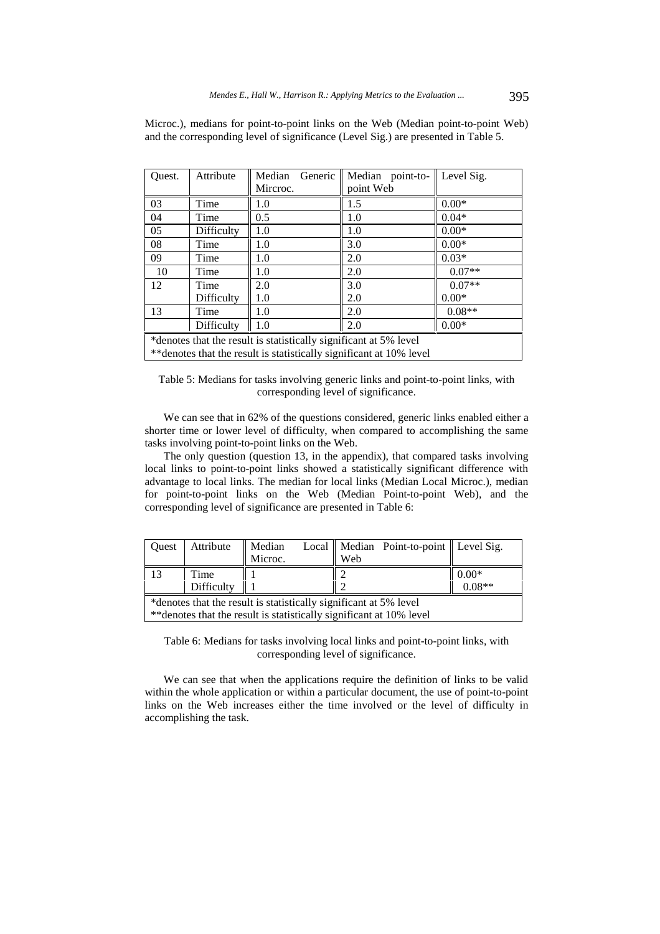Microc.), medians for point-to-point links on the Web (Median point-to-point Web) and the corresponding level of significance (Level Sig.) are presented in Table 5.

| Ouest.                                                              | Attribute  | Generic<br>Median | Median point-to- | Level Sig. |
|---------------------------------------------------------------------|------------|-------------------|------------------|------------|
|                                                                     |            | Mircroc.          | point Web        |            |
| 03                                                                  | Time       | 1.0               | 1.5              | $0.00*$    |
| 04                                                                  | Time       | 0.5               | 1.0              | $0.04*$    |
| 05                                                                  | Difficulty | 1.0               | 1.0              | $0.00*$    |
| 08                                                                  | Time       | 1.0               | 3.0              | $0.00*$    |
| 09                                                                  | Time       | 1.0               | 2.0              | $0.03*$    |
| -10                                                                 | Time       | 1.0               | 2.0              | $0.07**$   |
| 12                                                                  | Time       | 2.0               | 3.0              | $0.07**$   |
|                                                                     | Difficulty | 1.0               | 2.0              | $0.00*$    |
| 13                                                                  | Time       | 1.0               | 2.0              | $0.08**$   |
|                                                                     | Difficulty | 1.0               | 2.0              | $0.00*$    |
| *denotes that the result is statistically significant at 5% level   |            |                   |                  |            |
| **denotes that the result is statistically significant at 10% level |            |                   |                  |            |

Table 5: Medians for tasks involving generic links and point-to-point links, with corresponding level of significance.

We can see that in 62% of the questions considered, generic links enabled either a shorter time or lower level of difficulty, when compared to accomplishing the same tasks involving point-to-point links on the Web.

The only question (question 13, in the appendix), that compared tasks involving local links to point-to-point links showed a statistically significant difference with advantage to local links. The median for local links (Median Local Microc.), median for point-to-point links on the Web (Median Point-to-point Web), and the corresponding level of significance are presented in Table 6:

| Ouest                                                                | Attribute  | Median  |     | Local    Median Point-to-point    Level Sig. |          |
|----------------------------------------------------------------------|------------|---------|-----|----------------------------------------------|----------|
|                                                                      |            | Microc. | Web |                                              |          |
| 13                                                                   | Time       |         |     |                                              | $0.00*$  |
|                                                                      | Difficulty |         |     |                                              | $0.08**$ |
| *denotes that the result is statistically significant at 5% level    |            |         |     |                                              |          |
| ** denotes that the result is statistically significant at 10% level |            |         |     |                                              |          |

Table 6: Medians for tasks involving local links and point-to-point links, with corresponding level of significance.

We can see that when the applications require the definition of links to be valid within the whole application or within a particular document, the use of point-to-point links on the Web increases either the time involved or the level of difficulty in accomplishing the task.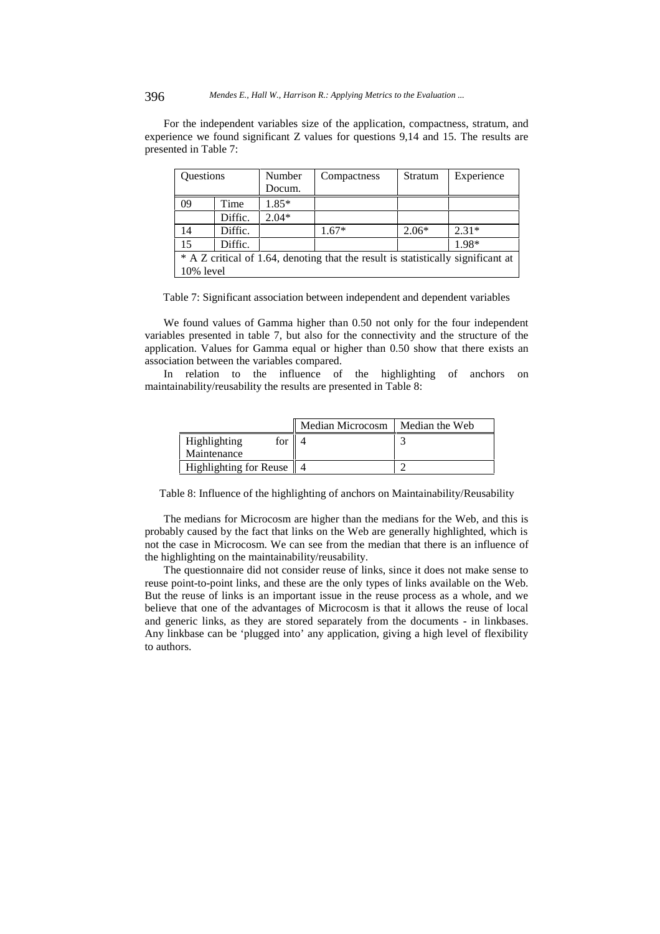396 *Mendes E., Hall W., Harrison R.: Applying Metrics to the Evaluation ...*

For the independent variables size of the application, compactness, stratum, and experience we found significant Z values for questions 9,14 and 15. The results are presented in Table 7:

| Questions                                                                        |         | Number  | Compactness | Stratum | Experience |
|----------------------------------------------------------------------------------|---------|---------|-------------|---------|------------|
|                                                                                  |         | Docum.  |             |         |            |
| 09                                                                               | Time    | $1.85*$ |             |         |            |
|                                                                                  | Diffic. | $2.04*$ |             |         |            |
| 14                                                                               | Diffic. |         | $1.67*$     | $2.06*$ | $2.31*$    |
| 15                                                                               | Diffic. |         |             |         | 1.98*      |
| * A Z critical of 1.64, denoting that the result is statistically significant at |         |         |             |         |            |
| 10% level                                                                        |         |         |             |         |            |

Table 7: Significant association between independent and dependent variables

We found values of Gamma higher than 0.50 not only for the four independent variables presented in table 7, but also for the connectivity and the structure of the application. Values for Gamma equal or higher than 0.50 show that there exists an association between the variables compared.

In relation to the influence of the highlighting of anchors on maintainability/reusability the results are presented in Table 8:

|                                 | Median Microcosm | Median the Web |
|---------------------------------|------------------|----------------|
| Highlighting<br>for $\parallel$ |                  |                |
| Maintenance                     |                  |                |
| Highlighting for Reuse   4      |                  |                |

Table 8: Influence of the highlighting of anchors on Maintainability/Reusability

The medians for Microcosm are higher than the medians for the Web, and this is probably caused by the fact that links on the Web are generally highlighted, which is not the case in Microcosm. We can see from the median that there is an influence of the highlighting on the maintainability/reusability.

The questionnaire did not consider reuse of links, since it does not make sense to reuse point-to-point links, and these are the only types of links available on the Web. But the reuse of links is an important issue in the reuse process as a whole, and we believe that one of the advantages of Microcosm is that it allows the reuse of local and generic links, as they are stored separately from the documents - in linkbases. Any linkbase can be 'plugged into' any application, giving a high level of flexibility to authors.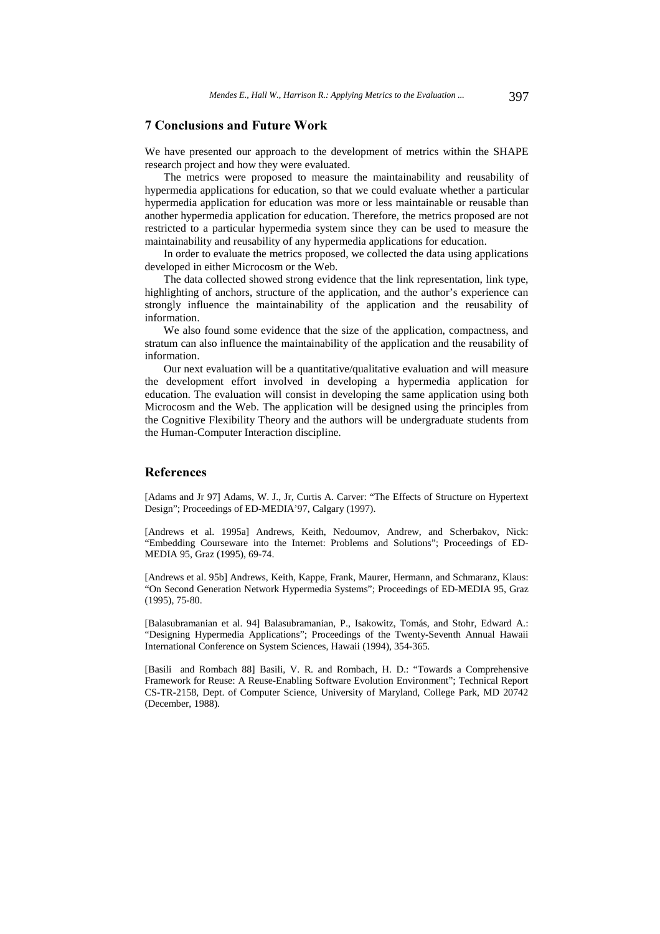# **7 Conclusions and Future Work**

We have presented our approach to the development of metrics within the SHAPE research project and how they were evaluated.

The metrics were proposed to measure the maintainability and reusability of hypermedia applications for education, so that we could evaluate whether a particular hypermedia application for education was more or less maintainable or reusable than another hypermedia application for education. Therefore, the metrics proposed are not restricted to a particular hypermedia system since they can be used to measure the maintainability and reusability of any hypermedia applications for education.

In order to evaluate the metrics proposed, we collected the data using applications developed in either Microcosm or the Web.

The data collected showed strong evidence that the link representation, link type, highlighting of anchors, structure of the application, and the author's experience can strongly influence the maintainability of the application and the reusability of information.

We also found some evidence that the size of the application, compactness, and stratum can also influence the maintainability of the application and the reusability of information.

Our next evaluation will be a quantitative/qualitative evaluation and will measure the development effort involved in developing a hypermedia application for education. The evaluation will consist in developing the same application using both Microcosm and the Web. The application will be designed using the principles from the Cognitive Flexibility Theory and the authors will be undergraduate students from the Human-Computer Interaction discipline.

# **References**

[Adams and Jr 97] Adams, W. J., Jr, Curtis A. Carver: "The Effects of Structure on Hypertext Design"; Proceedings of ED-MEDIA'97, Calgary (1997).

[Andrews et al. 1995a] Andrews, Keith, Nedoumov, Andrew, and Scherbakov, Nick: "Embedding Courseware into the Internet: Problems and Solutions"; Proceedings of ED-MEDIA 95, Graz (1995), 69-74.

[Andrews et al. 95b] Andrews, Keith, Kappe, Frank, Maurer, Hermann, and Schmaranz, Klaus: "On Second Generation Network Hypermedia Systems"; Proceedings of ED-MEDIA 95, Graz (1995), 75-80.

[Balasubramanian et al. 94] Balasubramanian, P., Isakowitz, Tomás, and Stohr, Edward A.: "Designing Hypermedia Applications"; Proceedings of the Twenty-Seventh Annual Hawaii International Conference on System Sciences, Hawaii (1994), 354-365.

[Basili and Rombach 88] Basili, V. R. and Rombach, H. D.: "Towards a Comprehensive Framework for Reuse: A Reuse-Enabling Software Evolution Environment"; Technical Report CS-TR-2158, Dept. of Computer Science, University of Maryland, College Park, MD 20742 (December, 1988).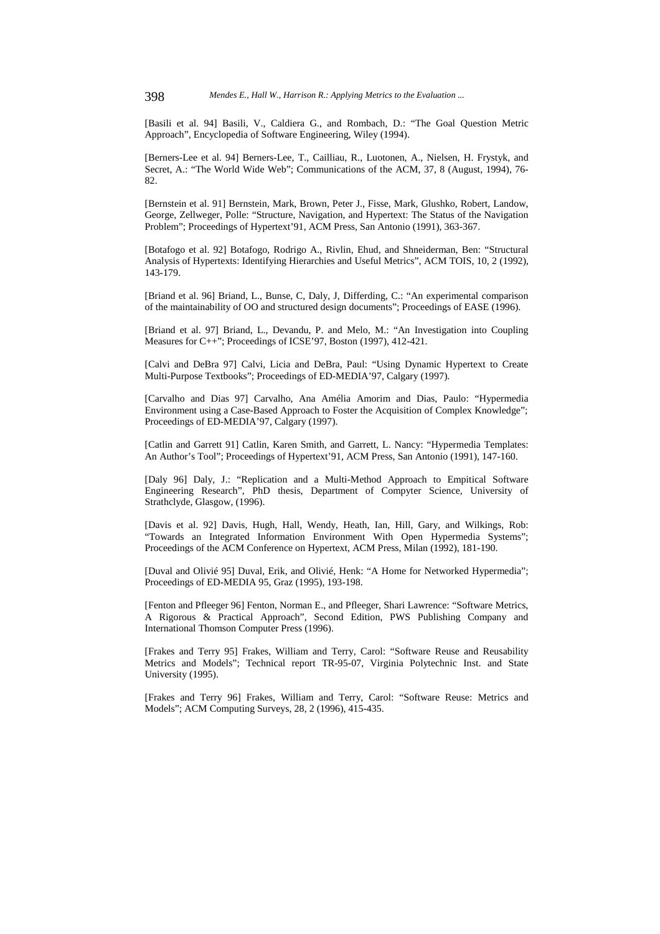[Basili et al. 94] Basili, V., Caldiera G., and Rombach, D.: "The Goal Question Metric Approach", Encyclopedia of Software Engineering, Wiley (1994).

[Berners-Lee et al. 94] Berners-Lee, T., Cailliau, R., Luotonen, A., Nielsen, H. Frystyk, and Secret, A.: "The World Wide Web"; Communications of the ACM, 37, 8 (August, 1994), 76- 82.

[Bernstein et al. 91] Bernstein, Mark, Brown, Peter J., Fisse, Mark, Glushko, Robert, Landow, George, Zellweger, Polle: "Structure, Navigation, and Hypertext: The Status of the Navigation Problem"; Proceedings of Hypertext'91, ACM Press, San Antonio (1991), 363-367.

[Botafogo et al. 92] Botafogo, Rodrigo A., Rivlin, Ehud, and Shneiderman, Ben: "Structural Analysis of Hypertexts: Identifying Hierarchies and Useful Metrics", ACM TOIS, 10, 2 (1992), 143-179.

[Briand et al. 96] Briand, L., Bunse, C, Daly, J, Differding, C.: "An experimental comparison of the maintainability of OO and structured design documents"; Proceedings of EASE (1996).

[Briand et al. 97] Briand, L., Devandu, P. and Melo, M.: "An Investigation into Coupling Measures for C++"; Proceedings of ICSE'97, Boston (1997), 412-421.

[Calvi and DeBra 97] Calvi, Licia and DeBra, Paul: "Using Dynamic Hypertext to Create Multi-Purpose Textbooks"; Proceedings of ED-MEDIA'97, Calgary (1997).

[Carvalho and Dias 97] Carvalho, Ana Amélia Amorim and Dias, Paulo: "Hypermedia Environment using a Case-Based Approach to Foster the Acquisition of Complex Knowledge"; Proceedings of ED-MEDIA'97, Calgary (1997).

[Catlin and Garrett 91] Catlin, Karen Smith, and Garrett, L. Nancy: "Hypermedia Templates: An Author's Tool"; Proceedings of Hypertext'91, ACM Press, San Antonio (1991), 147-160.

[Daly 96] Daly, J.: "Replication and a Multi-Method Approach to Empitical Software Engineering Research", PhD thesis, Department of Compyter Science, University of Strathclyde, Glasgow, (1996).

[Davis et al. 92] Davis, Hugh, Hall, Wendy, Heath, Ian, Hill, Gary, and Wilkings, Rob: "Towards an Integrated Information Environment With Open Hypermedia Systems"; Proceedings of the ACM Conference on Hypertext, ACM Press, Milan (1992), 181-190.

[Duval and Olivié 95] Duval, Erik, and Olivié, Henk: "A Home for Networked Hypermedia"; Proceedings of ED-MEDIA 95, Graz (1995), 193-198.

[Fenton and Pfleeger 96] Fenton, Norman E., and Pfleeger, Shari Lawrence: "Software Metrics, A Rigorous & Practical Approach", Second Edition, PWS Publishing Company and International Thomson Computer Press (1996).

[Frakes and Terry 95] Frakes, William and Terry, Carol: "Software Reuse and Reusability Metrics and Models"; Technical report TR-95-07, Virginia Polytechnic Inst. and State University (1995).

[Frakes and Terry 96] Frakes, William and Terry, Carol: "Software Reuse: Metrics and Models"; ACM Computing Surveys, 28, 2 (1996), 415-435.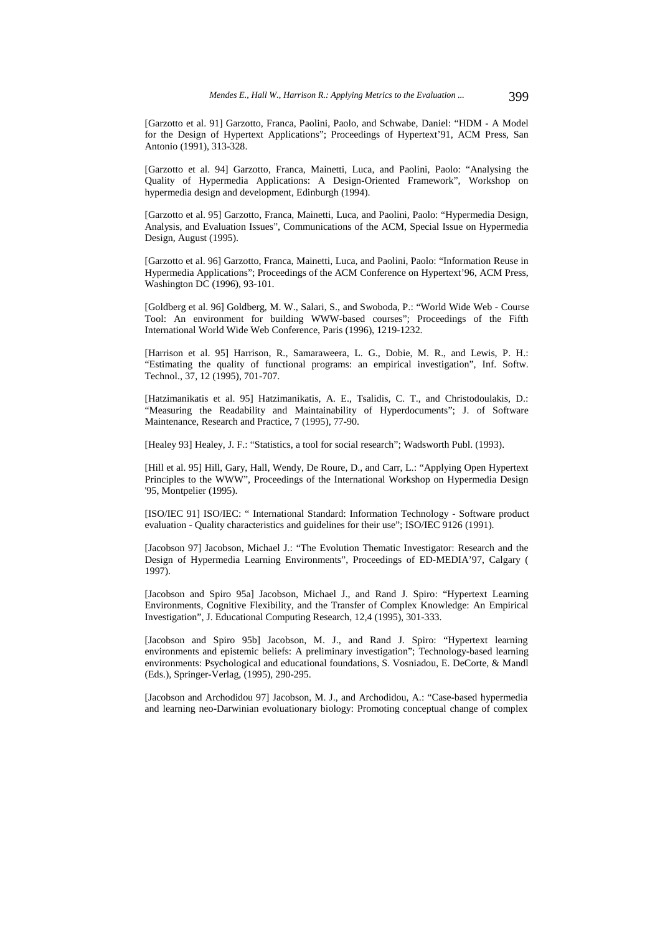[Garzotto et al. 91] Garzotto, Franca, Paolini, Paolo, and Schwabe, Daniel: "HDM - A Model for the Design of Hypertext Applications"; Proceedings of Hypertext'91, ACM Press, San Antonio (1991), 313-328.

[Garzotto et al. 94] Garzotto, Franca, Mainetti, Luca, and Paolini, Paolo: "Analysing the Quality of Hypermedia Applications: A Design-Oriented Framework", Workshop on hypermedia design and development, Edinburgh (1994).

[Garzotto et al. 95] Garzotto, Franca, Mainetti, Luca, and Paolini, Paolo: "Hypermedia Design, Analysis, and Evaluation Issues", Communications of the ACM, Special Issue on Hypermedia Design, August (1995).

[Garzotto et al. 96] Garzotto, Franca, Mainetti, Luca, and Paolini, Paolo: "Information Reuse in Hypermedia Applications"; Proceedings of the ACM Conference on Hypertext'96, ACM Press, Washington DC (1996), 93-101.

[Goldberg et al. 96] Goldberg, M. W., Salari, S., and Swoboda, P.: "World Wide Web - Course Tool: An environment for building WWW-based courses"; Proceedings of the Fifth International World Wide Web Conference, Paris (1996), 1219-1232.

[Harrison et al. 95] Harrison, R., Samaraweera, L. G., Dobie, M. R., and Lewis, P. H.: "Estimating the quality of functional programs: an empirical investigation", Inf. Softw. Technol., 37, 12 (1995), 701-707.

[Hatzimanikatis et al. 95] Hatzimanikatis, A. E., Tsalidis, C. T., and Christodoulakis, D.: "Measuring the Readability and Maintainability of Hyperdocuments"; J. of Software Maintenance, Research and Practice, 7 (1995), 77-90.

[Healey 93] Healey, J. F.: "Statistics, a tool for social research"; Wadsworth Publ. (1993).

[Hill et al. 95] Hill, Gary, Hall, Wendy, De Roure, D., and Carr, L.: "Applying Open Hypertext Principles to the WWW", Proceedings of the International Workshop on Hypermedia Design '95, Montpelier (1995).

[ISO/IEC 91] ISO/IEC: " International Standard: Information Technology - Software product evaluation - Quality characteristics and guidelines for their use"; ISO/IEC 9126 (1991).

[Jacobson 97] Jacobson, Michael J.: "The Evolution Thematic Investigator: Research and the Design of Hypermedia Learning Environments", Proceedings of ED-MEDIA'97, Calgary ( 1997).

[Jacobson and Spiro 95a] Jacobson, Michael J., and Rand J. Spiro: "Hypertext Learning Environments, Cognitive Flexibility, and the Transfer of Complex Knowledge: An Empirical Investigation", J. Educational Computing Research, 12,4 (1995), 301-333.

[Jacobson and Spiro 95b] Jacobson, M. J., and Rand J. Spiro: "Hypertext learning environments and epistemic beliefs: A preliminary investigation"; Technology-based learning environments: Psychological and educational foundations, S. Vosniadou, E. DeCorte, & Mandl (Eds.), Springer-Verlag, (1995), 290-295.

[Jacobson and Archodidou 97] Jacobson, M. J., and Archodidou, A.: "Case-based hypermedia and learning neo-Darwinian evoluationary biology: Promoting conceptual change of complex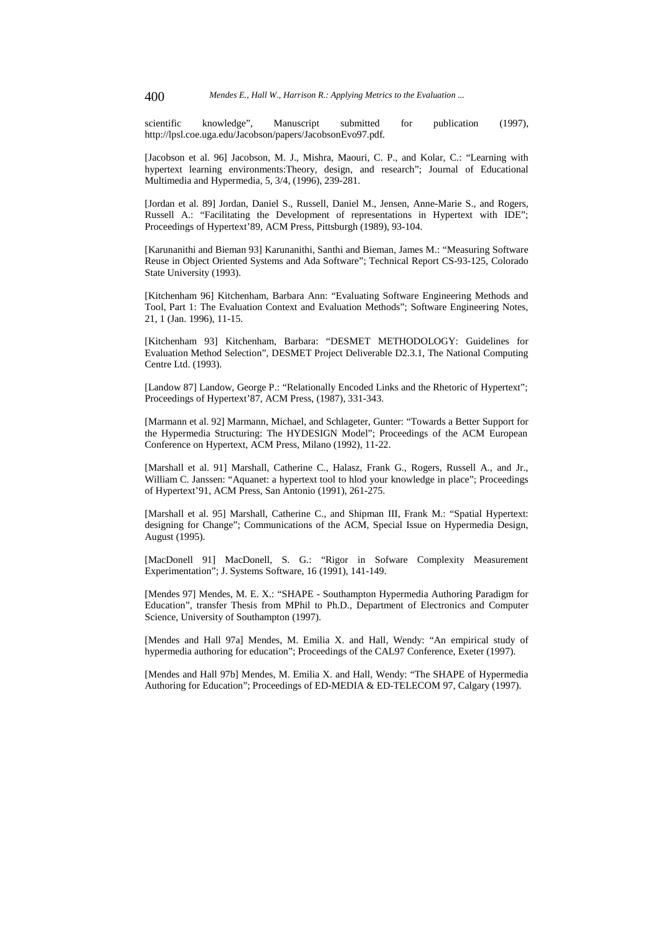scientific knowledge", Manuscript submitted for publication (1997), http://lpsl.coe.uga.edu/Jacobson/papers/JacobsonEvo97.pdf.

[Jacobson et al. 96] Jacobson, M. J., Mishra, Maouri, C. P., and Kolar, C.: "Learning with hypertext learning environments:Theory, design, and research"; Journal of Educational Multimedia and Hypermedia, 5, 3/4, (1996), 239-281.

[Jordan et al. 89] Jordan, Daniel S., Russell, Daniel M., Jensen, Anne-Marie S., and Rogers, Russell A.: "Facilitating the Development of representations in Hypertext with IDE"; Proceedings of Hypertext'89, ACM Press, Pittsburgh (1989), 93-104.

[Karunanithi and Bieman 93] Karunanithi, Santhi and Bieman, James M.: "Measuring Software Reuse in Object Oriented Systems and Ada Software"; Technical Report CS-93-125, Colorado State University (1993).

[Kitchenham 96] Kitchenham, Barbara Ann: "Evaluating Software Engineering Methods and Tool, Part 1: The Evaluation Context and Evaluation Methods"; Software Engineering Notes, 21, 1 (Jan. 1996), 11-15.

[Kitchenham 93] Kitchenham, Barbara: "DESMET METHODOLOGY: Guidelines for Evaluation Method Selection", DESMET Project Deliverable D2.3.1, The National Computing Centre Ltd. (1993).

[Landow 87] Landow, George P.: "Relationally Encoded Links and the Rhetoric of Hypertext"; Proceedings of Hypertext'87, ACM Press, (1987), 331-343.

[Marmann et al. 92] Marmann, Michael, and Schlageter, Gunter: "Towards a Better Support for the Hypermedia Structuring: The HYDESIGN Model"; Proceedings of the ACM European Conference on Hypertext, ACM Press, Milano (1992), 11-22.

[Marshall et al. 91] Marshall, Catherine C., Halasz, Frank G., Rogers, Russell A., and Jr., William C. Janssen: "Aquanet: a hypertext tool to hlod your knowledge in place"; Proceedings of Hypertext'91, ACM Press, San Antonio (1991), 261-275.

[Marshall et al. 95] Marshall, Catherine C., and Shipman III, Frank M.: "Spatial Hypertext: designing for Change"; Communications of the ACM, Special Issue on Hypermedia Design, August (1995).

[MacDonell 91] MacDonell, S. G.: "Rigor in Sofware Complexity Measurement Experimentation"; J. Systems Software, 16 (1991), 141-149.

[Mendes 97] Mendes, M. E. X.: "SHAPE - Southampton Hypermedia Authoring Paradigm for Education", transfer Thesis from MPhil to Ph.D., Department of Electronics and Computer Science, University of Southampton (1997).

[Mendes and Hall 97a] Mendes, M. Emilia X. and Hall, Wendy: "An empirical study of hypermedia authoring for education"; Proceedings of the CAL97 Conference, Exeter (1997).

[Mendes and Hall 97b] Mendes, M. Emilia X. and Hall, Wendy: "The SHAPE of Hypermedia Authoring for Education"; Proceedings of ED-MEDIA & ED-TELECOM 97, Calgary (1997).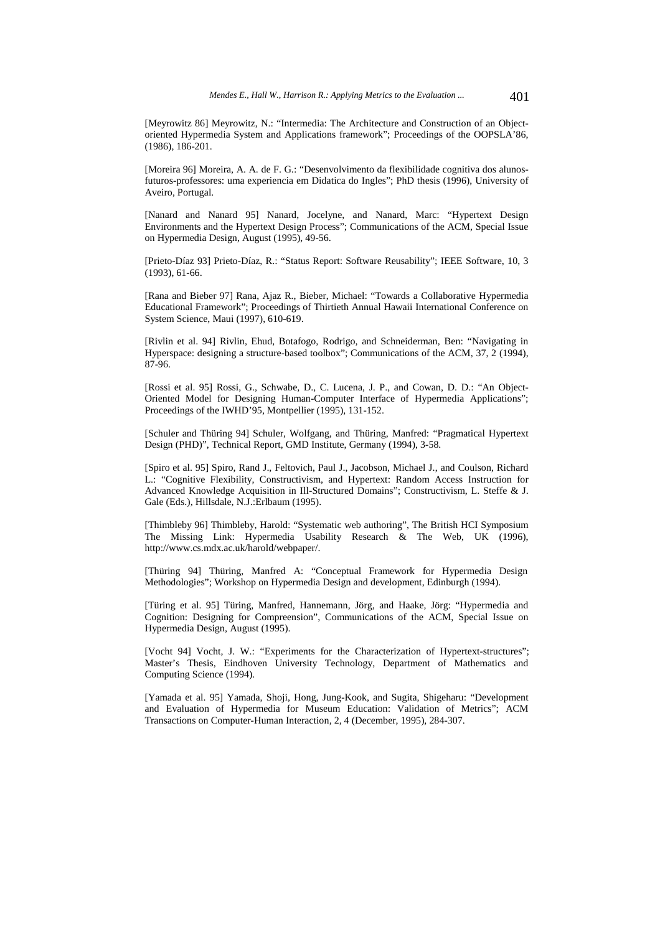[Meyrowitz 86] Meyrowitz, N.: "Intermedia: The Architecture and Construction of an Objectoriented Hypermedia System and Applications framework"; Proceedings of the OOPSLA'86, (1986), 186-201.

[Moreira 96] Moreira, A. A. de F. G.: "Desenvolvimento da flexibilidade cognitiva dos alunosfuturos-professores: uma experiencia em Didatica do Ingles"; PhD thesis (1996), University of Aveiro, Portugal.

[Nanard and Nanard 95] Nanard, Jocelyne, and Nanard, Marc: "Hypertext Design Environments and the Hypertext Design Process"; Communications of the ACM, Special Issue on Hypermedia Design, August (1995), 49-56.

[Prieto-Díaz 93] Prieto-Díaz, R.: "Status Report: Software Reusability"; IEEE Software, 10, 3 (1993), 61-66.

[Rana and Bieber 97] Rana, Ajaz R., Bieber, Michael: "Towards a Collaborative Hypermedia Educational Framework"; Proceedings of Thirtieth Annual Hawaii International Conference on System Science, Maui (1997), 610-619.

[Rivlin et al. 94] Rivlin, Ehud, Botafogo, Rodrigo, and Schneiderman, Ben: "Navigating in Hyperspace: designing a structure-based toolbox"; Communications of the ACM, 37, 2 (1994), 87-96.

[Rossi et al. 95] Rossi, G., Schwabe, D., C. Lucena, J. P., and Cowan, D. D.: "An Object-Oriented Model for Designing Human-Computer Interface of Hypermedia Applications"; Proceedings of the IWHD'95, Montpellier (1995), 131-152.

[Schuler and Thüring 94] Schuler, Wolfgang, and Thüring, Manfred: "Pragmatical Hypertext Design (PHD)", Technical Report, GMD Institute, Germany (1994), 3-58.

[Spiro et al. 95] Spiro, Rand J., Feltovich, Paul J., Jacobson, Michael J., and Coulson, Richard L.: "Cognitive Flexibility, Constructivism, and Hypertext: Random Access Instruction for Advanced Knowledge Acquisition in Ill-Structured Domains"; Constructivism, L. Steffe & J. Gale (Eds.), Hillsdale, N.J.:Erlbaum (1995).

[Thimbleby 96] Thimbleby, Harold: "Systematic web authoring", The British HCI Symposium The Missing Link: Hypermedia Usability Research & The Web, UK (1996), http://www.cs.mdx.ac.uk/harold/webpaper/.

[Thüring 94] Thüring, Manfred A: "Conceptual Framework for Hypermedia Design Methodologies"; Workshop on Hypermedia Design and development, Edinburgh (1994).

[Türing et al. 95] Türing, Manfred, Hannemann, Jörg, and Haake, Jörg: "Hypermedia and Cognition: Designing for Compreension", Communications of the ACM, Special Issue on Hypermedia Design, August (1995).

[Vocht 94] Vocht, J. W.: "Experiments for the Characterization of Hypertext-structures"; Master's Thesis, Eindhoven University Technology, Department of Mathematics and Computing Science (1994).

[Yamada et al. 95] Yamada, Shoji, Hong, Jung-Kook, and Sugita, Shigeharu: "Development and Evaluation of Hypermedia for Museum Education: Validation of Metrics"; ACM Transactions on Computer-Human Interaction, 2, 4 (December, 1995), 284-307.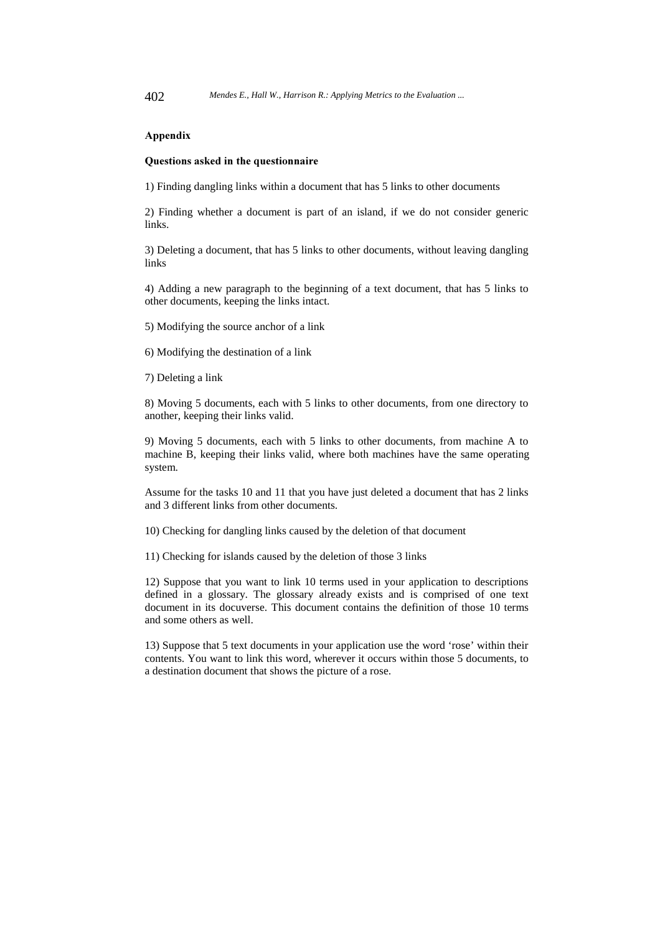#### **Appendix**

#### Questions asked in the questionnaire

1) Finding dangling links within a document that has 5 links to other documents

2) Finding whether a document is part of an island, if we do not consider generic links.

3) Deleting a document, that has 5 links to other documents, without leaving dangling links

4) Adding a new paragraph to the beginning of a text document, that has 5 links to other documents, keeping the links intact.

5) Modifying the source anchor of a link

6) Modifying the destination of a link

7) Deleting a link

8) Moving 5 documents, each with 5 links to other documents, from one directory to another, keeping their links valid.

9) Moving 5 documents, each with 5 links to other documents, from machine A to machine B, keeping their links valid, where both machines have the same operating system.

Assume for the tasks 10 and 11 that you have just deleted a document that has 2 links and 3 different links from other documents.

10) Checking for dangling links caused by the deletion of that document

11) Checking for islands caused by the deletion of those 3 links

12) Suppose that you want to link 10 terms used in your application to descriptions defined in a glossary. The glossary already exists and is comprised of one text document in its docuverse. This document contains the definition of those 10 terms and some others as well.

13) Suppose that 5 text documents in your application use the word 'rose' within their contents. You want to link this word, wherever it occurs within those 5 documents, to a destination document that shows the picture of a rose.